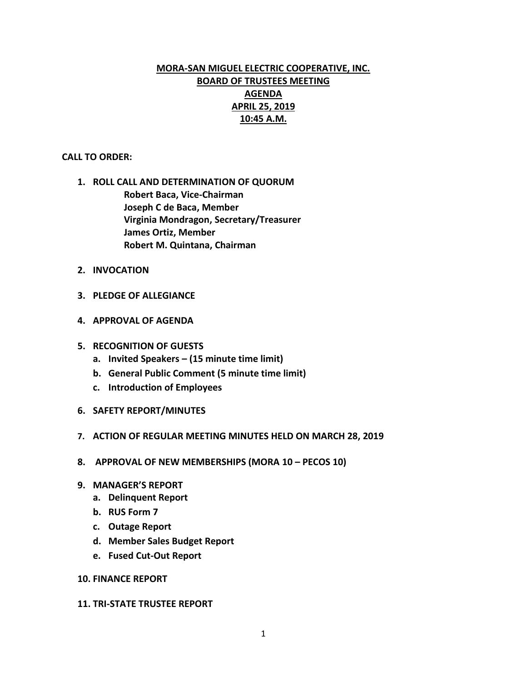# **MORA-SAN MIGUEL ELECTRIC COOPERATIVE, INC. BOARD OF TRUSTEES MEETING AGENDA APRIL 25, 2019 10:45 A.M.**

### **CALL TO ORDER:**

- **1. ROLL CALL AND DETERMINATION OF QUORUM Robert Baca, Vice-Chairman Joseph C de Baca, Member Virginia Mondragon, Secretary/Treasurer James Ortiz, Member Robert M. Quintana, Chairman**
- **2. INVOCATION**
- **3. PLEDGE OF ALLEGIANCE**
- **4. APPROVAL OF AGENDA**
- **5. RECOGNITION OF GUESTS**
	- **a. Invited Speakers – (15 minute time limit)**
	- **b. General Public Comment (5 minute time limit)**
	- **c. Introduction of Employees**
- **6. SAFETY REPORT/MINUTES**
- **7. ACTION OF REGULAR MEETING MINUTES HELD ON MARCH 28, 2019**
- **8. APPROVAL OF NEW MEMBERSHIPS (MORA 10 – PECOS 10)**
- **9. MANAGER'S REPORT**
	- **a. Delinquent Report**
	- **b. RUS Form 7**
	- **c. Outage Report**
	- **d. Member Sales Budget Report**
	- **e. Fused Cut-Out Report**

### **10. FINANCE REPORT**

#### **11. TRI-STATE TRUSTEE REPORT**